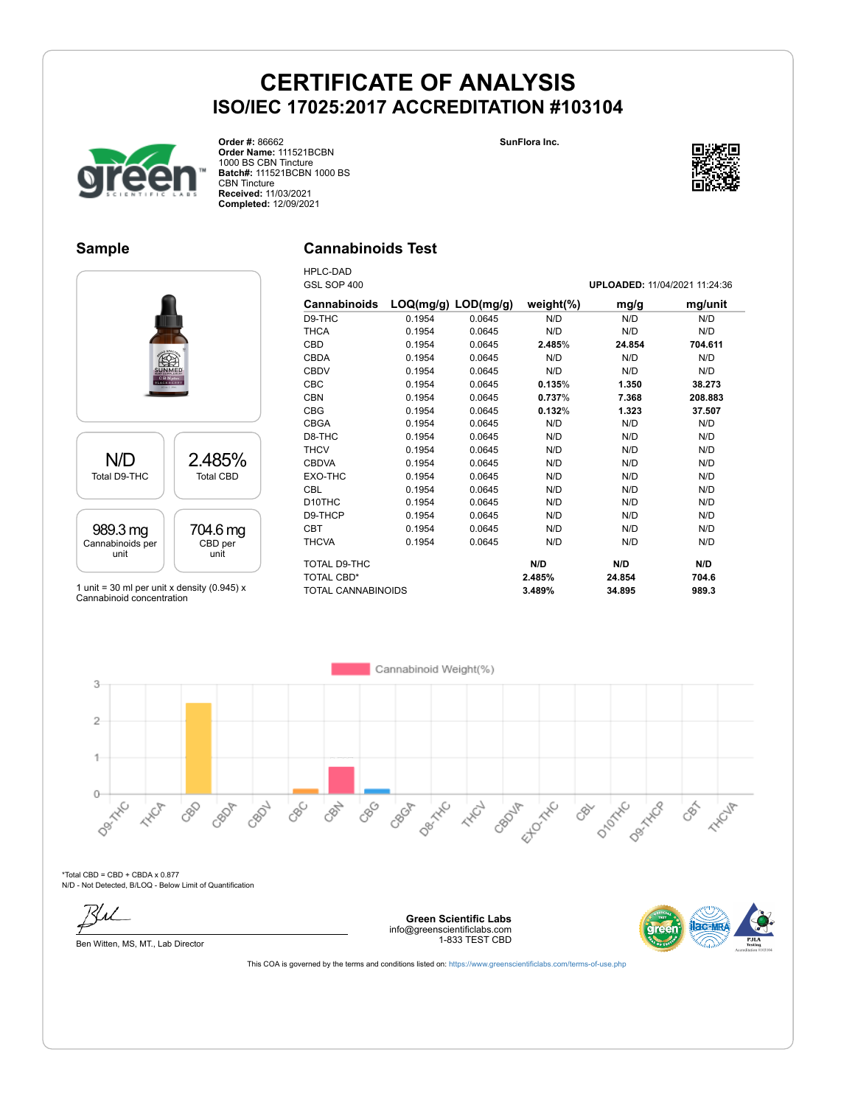**SunFlora Inc.**



**Order #:** 86662 **Order Name:** 111521BCBN 1000 BS CBN Tincture **Batch#:** 111521BCBN 1000 BS CBN Tincture **Received:** 11/03/2021 **Completed:** 12/09/2021

### **Sample**

### **Cannabinoids Test**



1 unit = 30 ml per unit x density (0.945)  $x$ Cannabinoid concentration

| <b>HPLC-DAD</b>     |                         |        |               |                               |         |
|---------------------|-------------------------|--------|---------------|-------------------------------|---------|
| GSL SOP 400         |                         |        |               | UPLOADED: 11/04/2021 11:24:36 |         |
| <b>Cannabinoids</b> | $LOQ(mg/g)$ $LOD(mg/g)$ |        | weight $(\%)$ | mg/g                          | mg/unit |
| D9-THC              | 0.1954                  | 0.0645 | N/D           | N/D                           | N/D     |
| <b>THCA</b>         | 0.1954                  | 0.0645 | N/D           | N/D                           | N/D     |
| <b>CBD</b>          | 0.1954                  | 0.0645 | 2.485%        | 24.854                        | 704.611 |
| <b>CBDA</b>         | 0.1954                  | 0.0645 | N/D           | N/D                           | N/D     |
| <b>CBDV</b>         | 0.1954                  | 0.0645 | N/D           | N/D                           | N/D     |
| CBC                 | 0.1954                  | 0.0645 | 0.135%        | 1.350                         | 38.273  |
| <b>CBN</b>          | 0.1954                  | 0.0645 | 0.737%        | 7.368                         | 208.883 |
| <b>CBG</b>          | 0.1954                  | 0.0645 | 0.132%        | 1.323                         | 37.507  |
| <b>CBGA</b>         | 0.1954                  | 0.0645 | N/D           | N/D                           | N/D     |
| D8-THC              | 0.1954                  | 0.0645 | N/D           | N/D                           | N/D     |
| <b>THCV</b>         | 0.1954                  | 0.0645 | N/D           | N/D                           | N/D     |
| <b>CBDVA</b>        | 0.1954                  | 0.0645 | N/D           | N/D                           | N/D     |
| EXO-THC             | 0.1954                  | 0.0645 | N/D           | N/D                           | N/D     |
| <b>CBL</b>          | 0.1954                  | 0.0645 | N/D           | N/D                           | N/D     |
| D <sub>10</sub> THC | 0.1954                  | 0.0645 | N/D           | N/D                           | N/D     |
| D9-THCP             | 0.1954                  | 0.0645 | N/D           | N/D                           | N/D     |
| <b>CBT</b>          | 0.1954                  | 0.0645 | N/D           | N/D                           | N/D     |
| <b>THCVA</b>        | 0.1954                  | 0.0645 | N/D           | N/D                           | N/D     |
| TOTAL D9-THC        |                         |        | N/D           | N/D                           | N/D     |
| <b>TOTAL CBD*</b>   |                         |        | 2.485%        | 24.854                        | 704.6   |
| TOTAL CANNABINOIDS  |                         |        | 3.489%        | 34.895                        | 989.3   |



\*Total CBD = CBD + CBDA x 0.877 N/D - Not Detected, B/LOQ - Below Limit of Quantification

Ben Witten, MS, MT., Lab Director





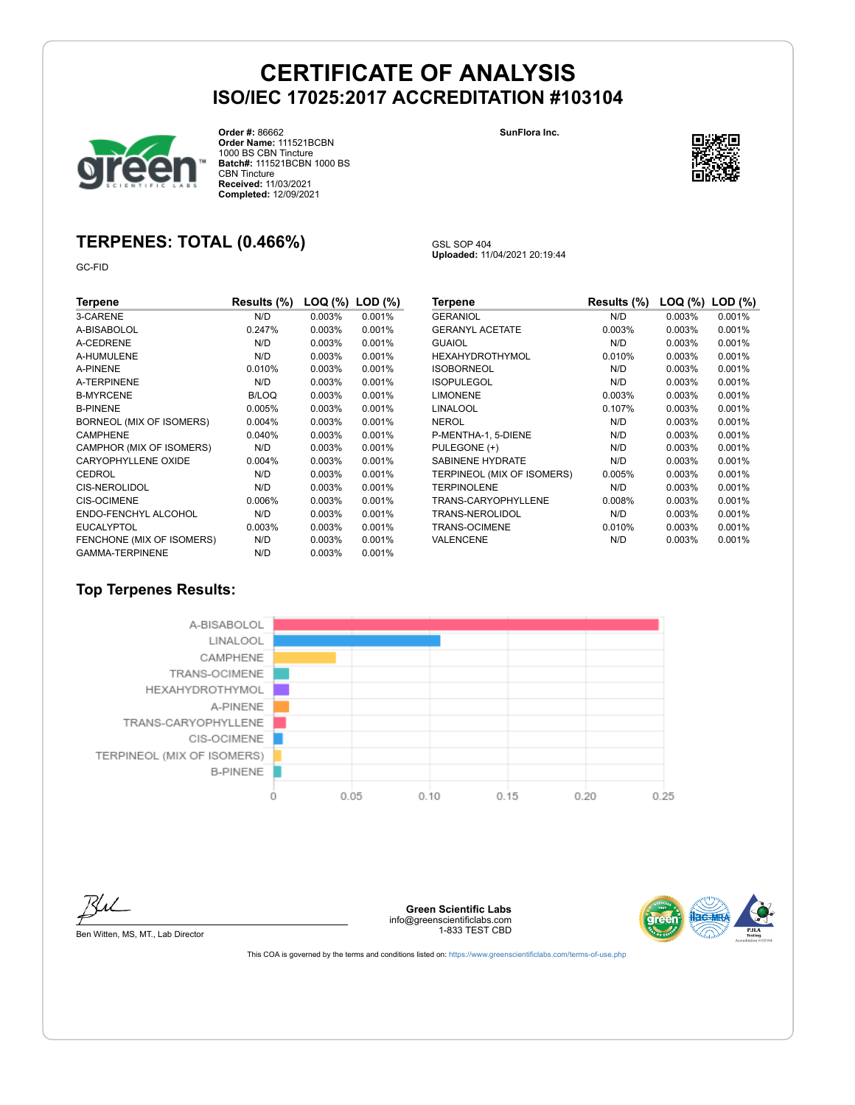GSL SOP 404

**Uploaded:** 11/04/2021 20:19:44



**Order #:** 86662 **Order Name:** 111521BCBN 1000 BS CBN Tincture **Batch#:** 111521BCBN 1000 BS CBN Tincture **Received:** 11/03/2021 **Completed:** 12/09/2021

**SunFlora Inc.**



## **TERPENES: TOTAL (0.466%)**

GC-FID

| Terpene                   | Results (%) | LOQ (%) | $LOD$ $(\%)$ |
|---------------------------|-------------|---------|--------------|
| 3-CARENE                  | N/D         | 0.003%  | 0.001%       |
| A-BISABOLOL               | 0.247%      | 0.003%  | 0.001%       |
| A-CEDRENE                 | N/D         | 0.003%  | 0.001%       |
| A-HUMULENE                | N/D         | 0.003%  | 0.001%       |
| A-PINENE                  | 0.010%      | 0.003%  | 0.001%       |
| A-TERPINENE               | N/D         | 0.003%  | 0.001%       |
| <b>B-MYRCENE</b>          | B/LOQ       | 0.003%  | 0.001%       |
| <b>B-PINENE</b>           | 0.005%      | 0.003%  | 0.001%       |
| BORNEOL (MIX OF ISOMERS)  | 0.004%      | 0.003%  | 0.001%       |
| <b>CAMPHENE</b>           | 0.040%      | 0.003%  | 0.001%       |
| CAMPHOR (MIX OF ISOMERS)  | N/D         | 0.003%  | 0.001%       |
| CARYOPHYLLENE OXIDE       | 0.004%      | 0.003%  | 0.001%       |
| <b>CEDROL</b>             | N/D         | 0.003%  | 0.001%       |
| <b>CIS-NEROLIDOL</b>      | N/D         | 0.003%  | 0.001%       |
| <b>CIS-OCIMENE</b>        | 0.006%      | 0.003%  | 0.001%       |
| ENDO-FENCHYL ALCOHOL      | N/D         | 0.003%  | 0.001%       |
| <b>EUCALYPTOL</b>         | 0.003%      | 0.003%  | 0.001%       |
| FENCHONE (MIX OF ISOMERS) | N/D         | 0.003%  | 0.001%       |
| <b>GAMMA-TERPINENE</b>    | N/D         | 0.003%  | 0.001%       |

| Terpene                    | Results (%) | LOQ (%) | $LOD$ $(\%)$ |
|----------------------------|-------------|---------|--------------|
| <b>GERANIOL</b>            | N/D         | 0.003%  | 0.001%       |
| <b>GERANYL ACETATE</b>     | 0.003%      | 0.003%  | 0.001%       |
| GUAIOL                     | N/D         | 0.003%  | 0.001%       |
| HEXAHYDROTHYMOL            | 0.010%      | 0.003%  | 0.001%       |
| <b>ISOBORNEOL</b>          | N/D         | 0.003%  | 0.001%       |
| <b>ISOPULEGOL</b>          | N/D         | 0.003%  | 0.001%       |
| <b>LIMONENE</b>            | 0.003%      | 0.003%  | 0.001%       |
| LINALOOL                   | 0.107%      | 0.003%  | 0.001%       |
| <b>NEROL</b>               | N/D         | 0.003%  | 0.001%       |
| P-MENTHA-1, 5-DIENE        | N/D         | 0.003%  | 0.001%       |
| PULEGONE (+)               | N/D         | 0.003%  | 0.001%       |
| <b>SABINENE HYDRATE</b>    | N/D         | 0.003%  | 0.001%       |
| TERPINEOL (MIX OF ISOMERS) | 0.005%      | 0.003%  | 0.001%       |
| <b>TERPINOLENE</b>         | N/D         | 0.003%  | 0.001%       |
| TRANS-CARYOPHYLLENE        | 0.008%      | 0.003%  | 0.001%       |
| TRANS-NEROLIDOL            | N/D         | 0.003%  | 0.001%       |
| TRANS-OCIMENE              | 0.010%      | 0.003%  | 0.001%       |
| VALENCENE                  | N/D         | 0.003%  | 0.001%       |

### **Top Terpenes Results:**





Ben Witten, MS, MT., Lab Director

**Green Scientific Labs** info@greenscientificlabs.com 1-833 TEST CBD

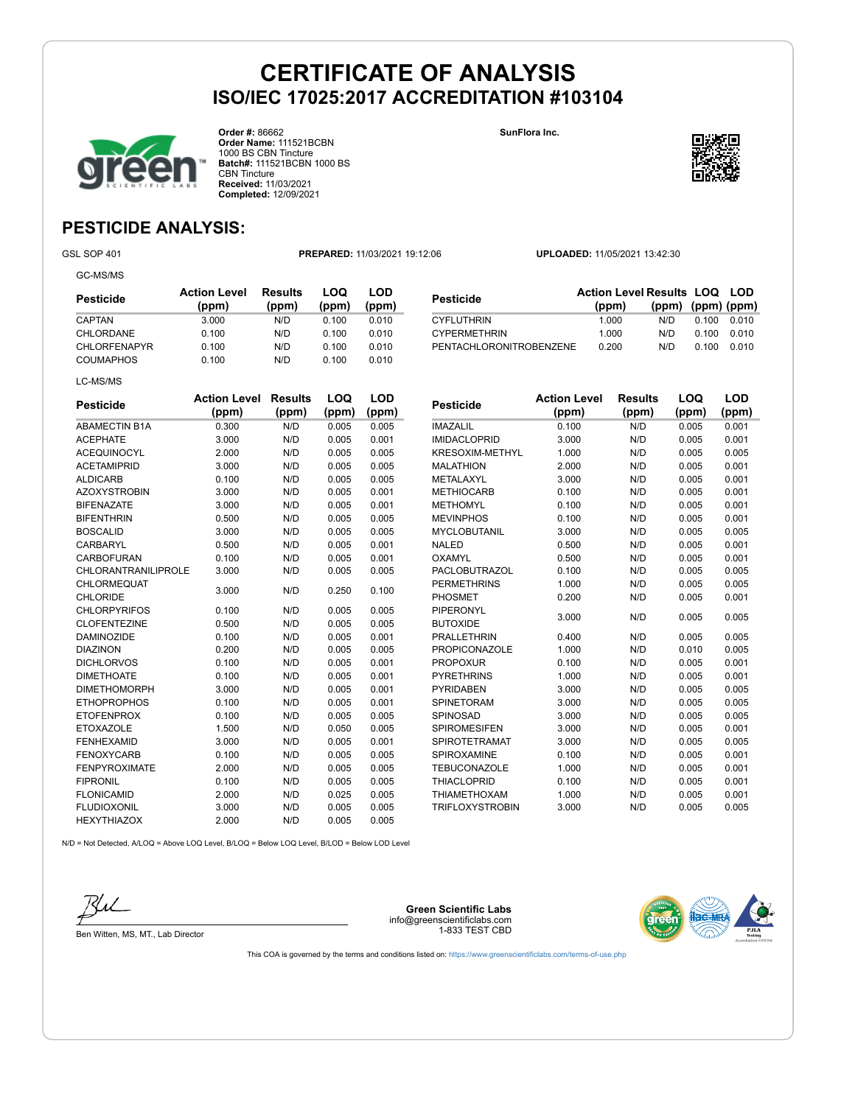

**Order #:** 86662 **Order Name:** 111521BCBN 1000 BS CBN Tincture **Batch#:** 111521BCBN 1000 BS CBN Tincture **Received:** 11/03/2021 **Completed:** 12/09/2021

**SunFlora Inc.**

**Pesticide Action Level**



## **PESTICIDE ANALYSIS:**

GC-MS/MS

GSL SOP 401 **PREPARED:** 11/03/2021 19:12:06 **UPLOADED:** 11/05/2021 13:42:30

| Pesticide           | <b>Action Level</b><br>(ppm) | Results<br>(ppm) | LOQ<br>(ppm) | LOD<br>(ppm) |
|---------------------|------------------------------|------------------|--------------|--------------|
| CAPTAN              | 3.000                        | N/D              | 0.100        | 0.010        |
| CHLORDANE           | 0.100                        | N/D              | 0.100        | 0.010        |
| <b>CHLORFENAPYR</b> | 0.100                        | N/D              | 0.100        | 0.010        |
| <b>COUMAPHOS</b>    | 0.100                        | N/D              | 0.100        | 0.010        |
| LC-MS/MS            |                              |                  |              |              |

| Pesticide               | <b>Action Level Results LOQ LOD</b> |                         |       |         |
|-------------------------|-------------------------------------|-------------------------|-------|---------|
|                         | (ppm)                               | $(ppm)$ $(ppm)$ $(ppm)$ |       |         |
| CYFLUTHRIN              | 1.000                               | N/D                     | 0.100 | . 0 010 |
| <b>CYPERMETHRIN</b>     | 1.000                               | N/D                     | 0.100 | 0 010   |
| PENTACHLORONITROBENZENE | 0.200                               | N/D                     | 0.100 | 0 010   |

**Results (ppm)**

**LOQ (ppm)**

**LOD (ppm)**

**(ppm)**

| <b>Pesticide</b>           | <b>Action Level</b> | <b>Results</b> | LOQ   | LOD   |
|----------------------------|---------------------|----------------|-------|-------|
|                            | (ppm)               | (ppm)          | (ppm) | (ppm) |
| <b>ABAMECTIN B1A</b>       | 0.300               | N/D            | 0.005 | 0.005 |
| <b>ACEPHATE</b>            | 3.000               | N/D            | 0.005 | 0.001 |
| <b>ACEQUINOCYL</b>         | 2.000               | N/D            | 0.005 | 0.005 |
| <b>ACETAMIPRID</b>         | 3.000               | N/D            | 0.005 | 0.005 |
| <b>ALDICARB</b>            | 0.100               | N/D            | 0.005 | 0.005 |
| <b>AZOXYSTROBIN</b>        | 3.000               | N/D            | 0.005 | 0.001 |
| <b>BIFENAZATE</b>          | 3.000               | N/D            | 0.005 | 0.001 |
| <b>BIFENTHRIN</b>          | 0.500               | N/D            | 0.005 | 0.005 |
| <b>BOSCALID</b>            | 3.000               | N/D            | 0.005 | 0.005 |
| CARBARYL                   | 0.500               | N/D            | 0.005 | 0.001 |
| CARBOFURAN                 | 0.100               | N/D            | 0.005 | 0.001 |
| <b>CHLORANTRANILIPROLE</b> | 3.000               | N/D            | 0.005 | 0.005 |
| <b>CHLORMEQUAT</b>         | 3.000               | N/D            | 0.250 | 0.100 |
| <b>CHLORIDE</b>            |                     |                |       |       |
| <b>CHLORPYRIFOS</b>        | 0.100               | N/D            | 0.005 | 0.005 |
| <b>CLOFENTEZINE</b>        | 0.500               | N/D            | 0.005 | 0.005 |
| <b>DAMINOZIDE</b>          | 0.100               | N/D            | 0.005 | 0.001 |
| <b>DIAZINON</b>            | 0.200               | N/D            | 0.005 | 0.005 |
| <b>DICHLORVOS</b>          | 0.100               | N/D            | 0.005 | 0.001 |
| <b>DIMETHOATE</b>          | 0.100               | N/D            | 0.005 | 0.001 |
| <b>DIMETHOMORPH</b>        | 3.000               | N/D            | 0.005 | 0.001 |
| <b>ETHOPROPHOS</b>         | 0.100               | N/D            | 0.005 | 0.001 |
| <b>ETOFENPROX</b>          | 0.100               | N/D            | 0.005 | 0.005 |
| <b>ETOXAZOLE</b>           | 1.500               | N/D            | 0.050 | 0.005 |
| <b>FENHEXAMID</b>          | 3.000               | N/D            | 0.005 | 0.001 |
| <b>FENOXYCARB</b>          | 0.100               | N/D            | 0.005 | 0.005 |
| <b>FENPYROXIMATE</b>       | 2.000               | N/D            | 0.005 | 0.005 |
| <b>FIPRONIL</b>            | 0.100               | N/D            | 0.005 | 0.005 |
| <b>FLONICAMID</b>          | 2.000               | N/D            | 0.025 | 0.005 |
| <b>FLUDIOXONIL</b>         | 3.000               | N/D            | 0.005 | 0.005 |
| <b>HEXYTHIAZOX</b>         | 2.000               | N/D            | 0.005 | 0.005 |

| <b>IMAZALIL</b>        | 0.100 | N/D | 0.005 | 0.001 |  |
|------------------------|-------|-----|-------|-------|--|
| <b>IMIDACLOPRID</b>    | 3.000 | N/D | 0.005 | 0.001 |  |
| <b>KRESOXIM-METHYL</b> | 1.000 | N/D | 0.005 | 0.005 |  |
| <b>MALATHION</b>       | 2.000 | N/D | 0.005 | 0.001 |  |
| METALAXYL              | 3.000 | N/D | 0.005 | 0.001 |  |
| <b>METHIOCARB</b>      | 0.100 | N/D | 0.005 | 0.001 |  |
| <b>METHOMYL</b>        | 0.100 | N/D | 0.005 | 0.001 |  |
| <b>MEVINPHOS</b>       | 0.100 | N/D | 0.005 | 0.001 |  |
| <b>MYCLOBUTANIL</b>    | 3.000 | N/D | 0.005 | 0.005 |  |
| <b>NALED</b>           | 0.500 | N/D | 0.005 | 0.001 |  |
| OXAMYL                 | 0.500 | N/D | 0.005 | 0.001 |  |
| <b>PACLOBUTRAZOL</b>   | 0.100 | N/D | 0.005 | 0.005 |  |
| <b>PERMETHRINS</b>     | 1.000 | N/D | 0.005 | 0.005 |  |
| <b>PHOSMET</b>         | 0.200 | N/D | 0.005 | 0.001 |  |
| <b>PIPERONYL</b>       | 3.000 | N/D | 0.005 | 0.005 |  |
| <b>BUTOXIDE</b>        |       |     |       |       |  |
| <b>PRALLETHRIN</b>     | 0.400 | N/D | 0.005 | 0.005 |  |
| <b>PROPICONAZOLE</b>   | 1.000 | N/D | 0.010 | 0.005 |  |
| <b>PROPOXUR</b>        | 0.100 | N/D | 0.005 | 0.001 |  |
| <b>PYRETHRINS</b>      | 1.000 | N/D | 0.005 | 0.001 |  |
| <b>PYRIDABEN</b>       | 3.000 | N/D | 0.005 | 0.005 |  |
| <b>SPINETORAM</b>      | 3.000 | N/D | 0.005 | 0.005 |  |
| SPINOSAD               | 3.000 | N/D | 0.005 | 0.005 |  |
| <b>SPIROMESIFEN</b>    | 3.000 | N/D | 0.005 | 0.001 |  |
| <b>SPIROTETRAMAT</b>   | 3.000 | N/D | 0.005 | 0.005 |  |
| <b>SPIROXAMINE</b>     | 0.100 | N/D | 0.005 | 0.001 |  |
| <b>TEBUCONAZOLE</b>    | 1.000 | N/D | 0.005 | 0.001 |  |
| <b>THIACLOPRID</b>     | 0.100 | N/D | 0.005 | 0.001 |  |
| <b>THIAMETHOXAM</b>    | 1.000 | N/D | 0.005 | 0.001 |  |
| <b>TRIFLOXYSTROBIN</b> | 3.000 | N/D | 0.005 | 0.005 |  |

N/D = Not Detected, A/LOQ = Above LOQ Level, B/LOQ = Below LOQ Level, B/LOD = Below LOD Level



Ben Witten, MS, MT., Lab Director

**Green Scientific Labs** info@greenscientificlabs.com 1-833 TEST CBD

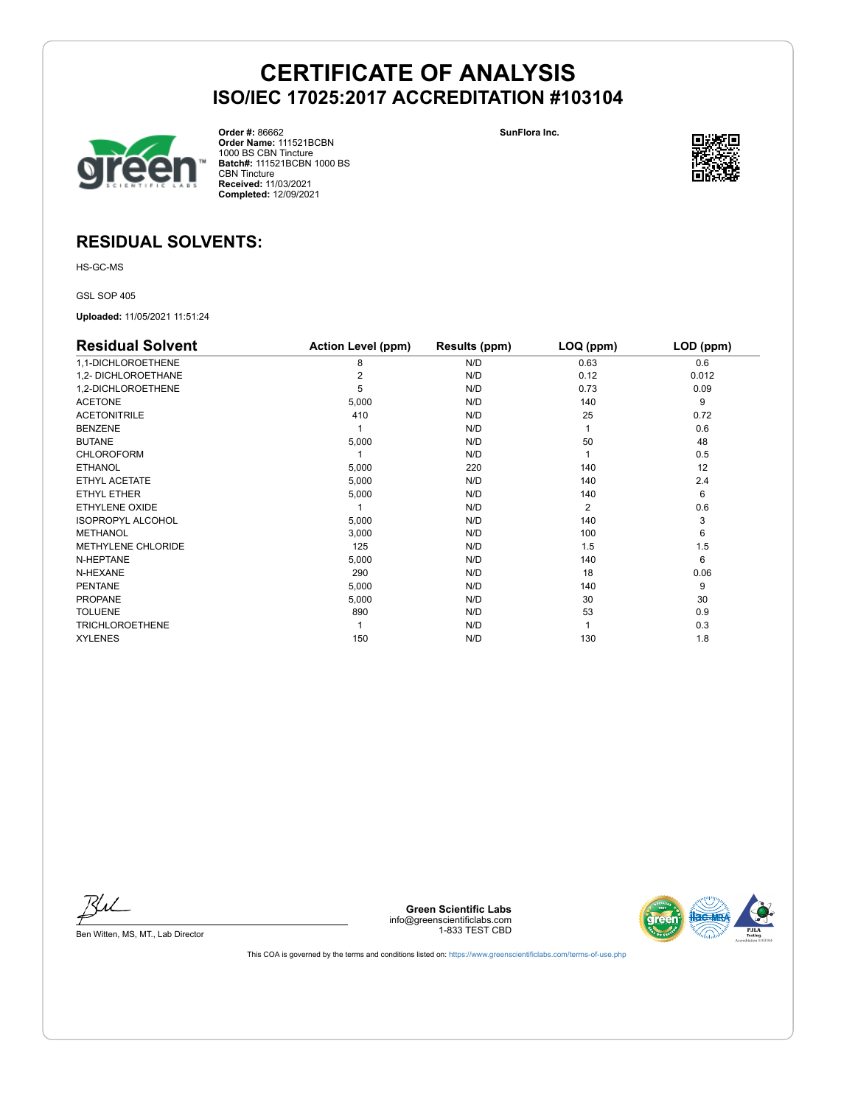



**Order #:** 86662 **Order Name:** 111521BCBN 1000 BS CBN Tincture **Batch#:** 111521BCBN 1000 BS CBN Tincture **Received:** 11/03/2021 **Completed:** 12/09/2021

**SunFlora Inc.**



### **RESIDUAL SOLVENTS:**

HS-GC-MS

GSL SOP 405

**Uploaded:** 11/05/2021 11:51:24

| <b>Residual Solvent</b>   | <b>Action Level (ppm)</b> | Results (ppm) | LOQ (ppm)      | LOD (ppm) |
|---------------------------|---------------------------|---------------|----------------|-----------|
| 1,1-DICHLOROETHENE        | 8                         | N/D           | 0.63           | 0.6       |
| 1,2- DICHLOROETHANE       |                           | N/D           | 0.12           | 0.012     |
| 1,2-DICHLOROETHENE        | 5                         | N/D           | 0.73           | 0.09      |
| <b>ACETONE</b>            | 5,000                     | N/D           | 140            | 9         |
| <b>ACETONITRILE</b>       | 410                       | N/D           | 25             | 0.72      |
| <b>BENZENE</b>            |                           | N/D           |                | 0.6       |
| <b>BUTANE</b>             | 5,000                     | N/D           | 50             | 48        |
| <b>CHLOROFORM</b>         |                           | N/D           |                | 0.5       |
| <b>ETHANOL</b>            | 5,000                     | 220           | 140            | 12        |
| ETHYL ACETATE             | 5,000                     | N/D           | 140            | 2.4       |
| ETHYL ETHER               | 5,000                     | N/D           | 140            | 6         |
| <b>ETHYLENE OXIDE</b>     |                           | N/D           | $\overline{2}$ | 0.6       |
| <b>ISOPROPYL ALCOHOL</b>  | 5,000                     | N/D           | 140            | 3         |
| <b>METHANOL</b>           | 3,000                     | N/D           | 100            | 6         |
| <b>METHYLENE CHLORIDE</b> | 125                       | N/D           | 1.5            | 1.5       |
| N-HEPTANE                 | 5,000                     | N/D           | 140            | 6         |
| N-HEXANE                  | 290                       | N/D           | 18             | 0.06      |
| <b>PENTANE</b>            | 5,000                     | N/D           | 140            | 9         |
| <b>PROPANE</b>            | 5,000                     | N/D           | 30             | 30        |
| <b>TOLUENE</b>            | 890                       | N/D           | 53             | 0.9       |
| <b>TRICHLOROETHENE</b>    |                           | N/D           |                | 0.3       |
| <b>XYLENES</b>            | 150                       | N/D           | 130            | 1.8       |

Bu

Ben Witten, MS, MT., Lab Director

**Green Scientific Labs** info@greenscientificlabs.com 1-833 TEST CBD

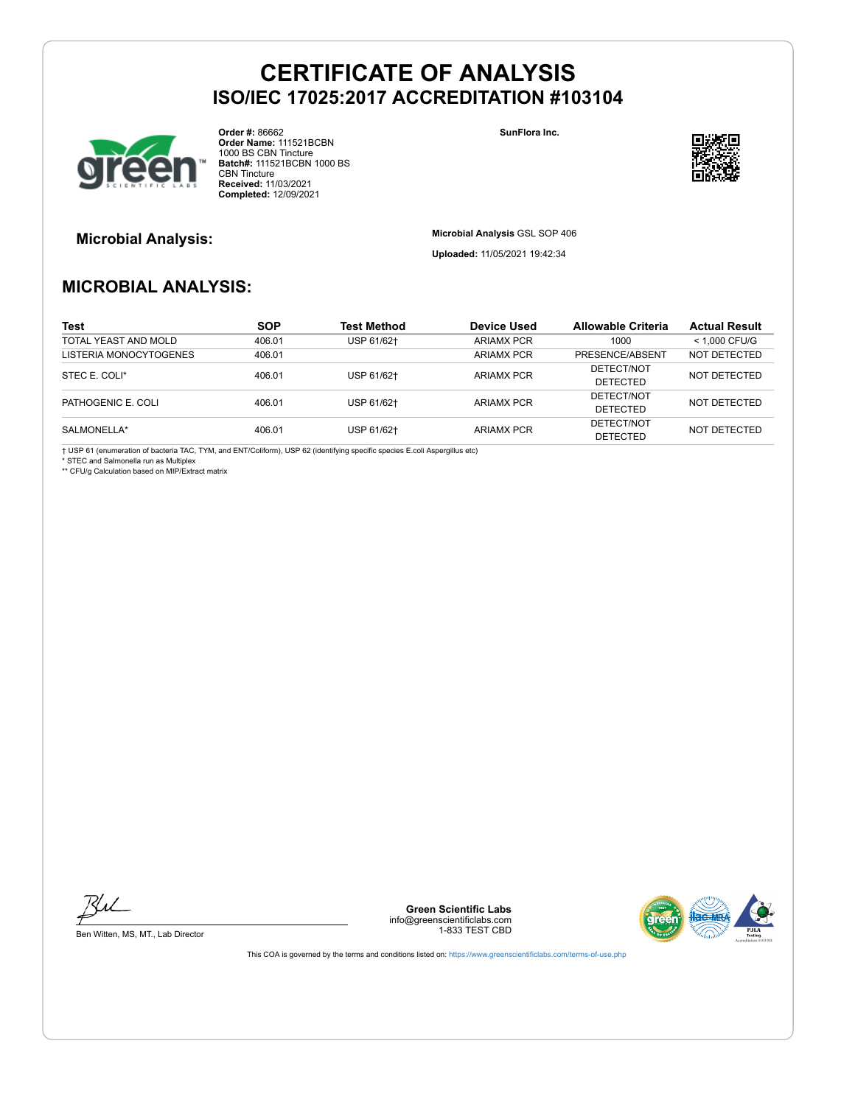

**Order #:** 86662 **Order Name:** 111521BCBN 1000 BS CBN Tincture **Batch#:** 111521BCBN 1000 BS CBN Tincture **Received:** 11/03/2021 **Completed:** 12/09/2021

**SunFlora Inc.**



**Microbial Analysis: Microbial Analysis** GSL SOP 406

**Uploaded:** 11/05/2021 19:42:34

## **MICROBIAL ANALYSIS:**

| Test                   | <b>SOP</b> | <b>Test Method</b> | Device Used       | Allowable Criteria | <b>Actual Result</b> |
|------------------------|------------|--------------------|-------------------|--------------------|----------------------|
| TOTAL YEAST AND MOLD   | 406.01     | USP 61/62+         | <b>ARIAMX PCR</b> | 1000               | < 1.000 CFU/G        |
| LISTERIA MONOCYTOGENES | 406.01     |                    | <b>ARIAMX PCR</b> | PRESENCE/ABSENT    | NOT DETECTED         |
|                        | 406.01     | USP 61/62+         | <b>ARIAMX PCR</b> | DETECT/NOT         | NOT DETECTED         |
| STEC E. COLI*          |            |                    |                   | <b>DETECTED</b>    |                      |
| PATHOGENIC E. COLI     | 406.01     | USP 61/62+         | <b>ARIAMX PCR</b> | DETECT/NOT         | NOT DETECTED         |
|                        |            |                    |                   | <b>DETECTED</b>    |                      |
| SALMONELLA*            | 406.01     | USP 61/62+         | ARIAMX PCR        | DETECT/NOT         | NOT DETECTED         |
|                        |            |                    |                   | <b>DETECTED</b>    |                      |

† USP 61 (enumeration of bacteria TAC, TYM, and ENT/Coliform), USP 62 (identifying specific species E.coli Aspergillus etc) \* STEC and Salmonella run as Multiplex

\*\* CFU/g Calculation based on MIP/Extract matrix

Bu

Ben Witten, MS, MT., Lab Director

**Green Scientific Labs** info@greenscientificlabs.com 1-833 TEST CBD